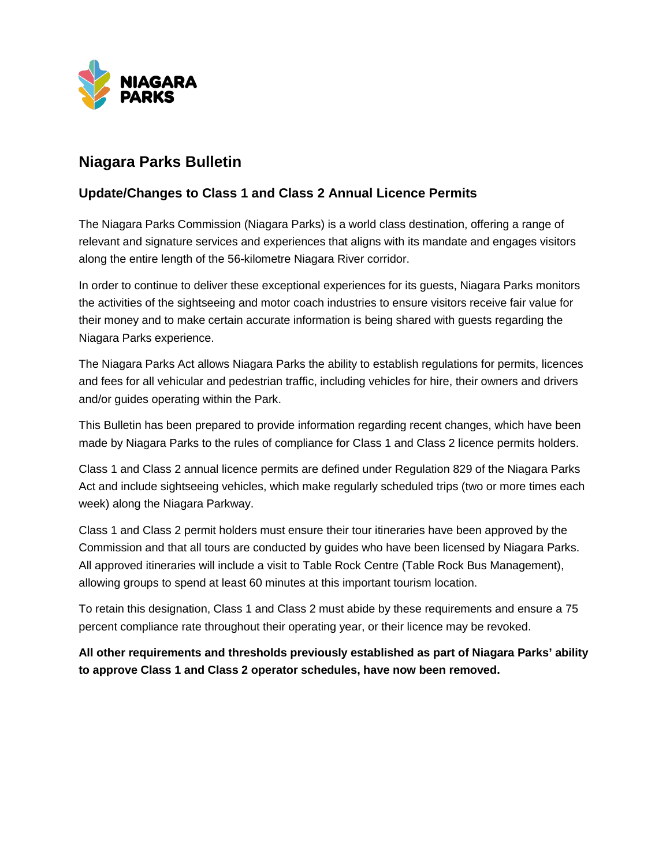

## **Niagara Parks Bulletin**

## **Update/Changes to Class 1 and Class 2 Annual Licence Permits**

The Niagara Parks Commission (Niagara Parks) is a world class destination, offering a range of relevant and signature services and experiences that aligns with its mandate and engages visitors along the entire length of the 56-kilometre Niagara River corridor.

In order to continue to deliver these exceptional experiences for its guests, Niagara Parks monitors the activities of the sightseeing and motor coach industries to ensure visitors receive fair value for their money and to make certain accurate information is being shared with guests regarding the Niagara Parks experience.

The Niagara Parks Act allows Niagara Parks the ability to establish regulations for permits, licences and fees for all vehicular and pedestrian traffic, including vehicles for hire, their owners and drivers and/or guides operating within the Park.

This Bulletin has been prepared to provide information regarding recent changes, which have been made by Niagara Parks to the rules of compliance for Class 1 and Class 2 licence permits holders.

Class 1 and Class 2 annual licence permits are defined under Regulation 829 of the Niagara Parks Act and include sightseeing vehicles, which make regularly scheduled trips (two or more times each week) along the Niagara Parkway.

Class 1 and Class 2 permit holders must ensure their tour itineraries have been approved by the Commission and that all tours are conducted by guides who have been licensed by Niagara Parks. All approved itineraries will include a visit to Table Rock Centre (Table Rock Bus Management), allowing groups to spend at least 60 minutes at this important tourism location.

To retain this designation, Class 1 and Class 2 must abide by these requirements and ensure a 75 percent compliance rate throughout their operating year, or their licence may be revoked.

**All other requirements and thresholds previously established as part of Niagara Parks' ability to approve Class 1 and Class 2 operator schedules, have now been removed.**